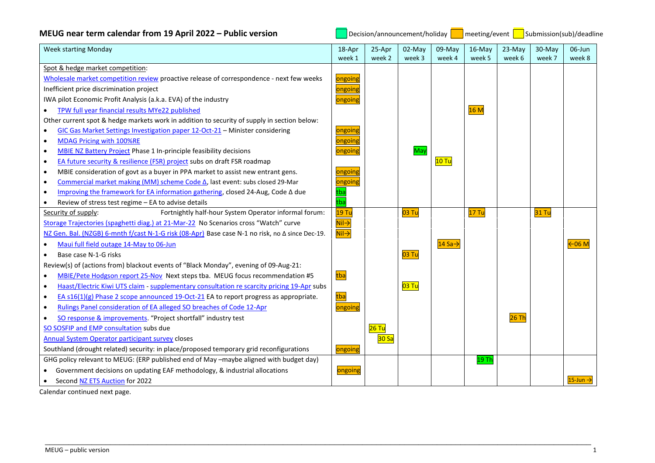| MEUG near term calendar from 19 April 2022 – Public version |  |
|-------------------------------------------------------------|--|
|-------------------------------------------------------------|--|

**MEU** Decision/announcement/holiday **Demock and COU** Submission(sub)/deadline

| <b>Week starting Monday</b>                                                                             | 18-Apr                    | 25-Apr  | 02-May | 09-May              | 16-May | 23-May  | 30-May | 06-Jun                  |
|---------------------------------------------------------------------------------------------------------|---------------------------|---------|--------|---------------------|--------|---------|--------|-------------------------|
|                                                                                                         | week 1                    | week 2  | week 3 | week 4              | week 5 | week 6  | week 7 | week 8                  |
| Spot & hedge market competition:                                                                        |                           |         |        |                     |        |         |        |                         |
| Wholesale market competition review proactive release of correspondence - next few weeks                | ongoing                   |         |        |                     |        |         |        |                         |
| Inefficient price discrimination project                                                                | ongoing                   |         |        |                     |        |         |        |                         |
| IWA pilot Economic Profit Analysis (a.k.a. EVA) of the industry                                         | ongoing                   |         |        |                     |        |         |        |                         |
| TPW full year financial results MYe22 published<br>$\bullet$                                            |                           |         |        |                     | 16M    |         |        |                         |
| Other current spot & hedge markets work in addition to security of supply in section below:             |                           |         |        |                     |        |         |        |                         |
| GIC Gas Market Settings Investigation paper 12-Oct-21 - Minister considering                            | ongoing                   |         |        |                     |        |         |        |                         |
| MDAG Pricing with 100%RE                                                                                | ongoing                   |         |        |                     |        |         |        |                         |
| MBIE NZ Battery Project Phase 1 In-principle feasibility decisions<br>$\bullet$                         | ongoing                   |         | May    |                     |        |         |        |                         |
| EA future security & resilience (FSR) project subs on draft FSR roadmap<br>$\bullet$                    |                           |         |        | $10$ Tu             |        |         |        |                         |
| MBIE consideration of govt as a buyer in PPA market to assist new entrant gens.<br>$\bullet$            | ongoing                   |         |        |                     |        |         |        |                         |
| Commercial market making (MM) scheme Code △, last event: subs closed 29-Mar<br>$\bullet$                | ongoing                   |         |        |                     |        |         |        |                         |
| Improving the framework for EA information gathering, closed 24-Aug, Code A due<br>$\bullet$            | tba                       |         |        |                     |        |         |        |                         |
| Review of stress test regime - EA to advise details<br>$\bullet$                                        | $\overline{\text{tba}}$   |         |        |                     |        |         |        |                         |
| Fortnightly half-hour System Operator informal forum:<br>Security of supply:                            | 19 Tu                     |         | 03 Tu  |                     | 17 Tu  |         | 31 Tu  |                         |
| Storage Trajectories (spaghetti diag.) at 21-Mar-22 No Scenarios cross "Watch" curve                    | $\overline{\mathsf{Nil}}$ |         |        |                     |        |         |        |                         |
| NZ Gen. Bal. (NZGB) 6-mnth f/cast N-1-G risk (08-Apr) Base case N-1 no risk, no ∆ since Dec-19.         | $Nil \rightarrow$         |         |        |                     |        |         |        |                         |
| Maui full field outage 14-May to 06-Jun                                                                 |                           |         |        | 14 Sa $\rightarrow$ |        |         |        | $\leftarrow$ 06 M       |
| Base case N-1-G risks                                                                                   |                           |         | 03 Tu  |                     |        |         |        |                         |
| Review(s) of (actions from) blackout events of "Black Monday", evening of 09-Aug-21:                    |                           |         |        |                     |        |         |        |                         |
| MBIE/Pete Hodgson report 25-Nov Next steps tba. MEUG focus recommendation #5<br>$\bullet$               | tba                       |         |        |                     |        |         |        |                         |
| Haast/Electric Kiwi UTS claim - supplementary consultation re scarcity pricing 19-Apr subs<br>$\bullet$ |                           |         | 03 Tu  |                     |        |         |        |                         |
| EA $s16(1)(g)$ Phase 2 scope announced 19-Oct-21 EA to report progress as appropriate.<br>$\bullet$     | tba                       |         |        |                     |        |         |        |                         |
| Rulings Panel consideration of EA alleged SO breaches of Code 12-Apr<br>$\bullet$                       | ongoing                   |         |        |                     |        |         |        |                         |
| SO response & improvements. "Project shortfall" industry test                                           |                           |         |        |                     |        | $26$ Th |        |                         |
| SO SOSFIP and EMP consultation subs due                                                                 |                           | $26$ Tu |        |                     |        |         |        |                         |
| Annual System Operator participant survey closes                                                        |                           | 30 Sa   |        |                     |        |         |        |                         |
| Southland (drought related) security: in place/proposed temporary grid reconfigurations                 | ongoing                   |         |        |                     |        |         |        |                         |
| GHG policy relevant to MEUG: (ERP published end of May -maybe aligned with budget day)                  |                           |         |        |                     | 19 Th  |         |        |                         |
| Government decisions on updating EAF methodology, & industrial allocations                              | ongoing                   |         |        |                     |        |         |        |                         |
| Second NZ ETS Auction for 2022<br>$\bullet$                                                             |                           |         |        |                     |        |         |        | $15$ -Jun $\rightarrow$ |

\_\_\_\_\_\_\_\_\_\_\_\_\_\_\_\_\_\_\_\_\_\_\_\_\_\_\_\_\_\_\_\_\_\_\_\_\_\_\_\_\_\_\_\_\_\_\_\_\_\_\_\_\_\_\_\_\_\_\_\_\_\_\_\_\_\_\_\_\_\_\_\_\_\_\_\_\_\_\_\_\_\_\_\_\_\_\_\_\_\_\_\_\_\_\_\_\_\_\_\_\_\_\_\_\_\_\_\_\_\_\_\_\_\_\_\_\_

Calendar continued next page.